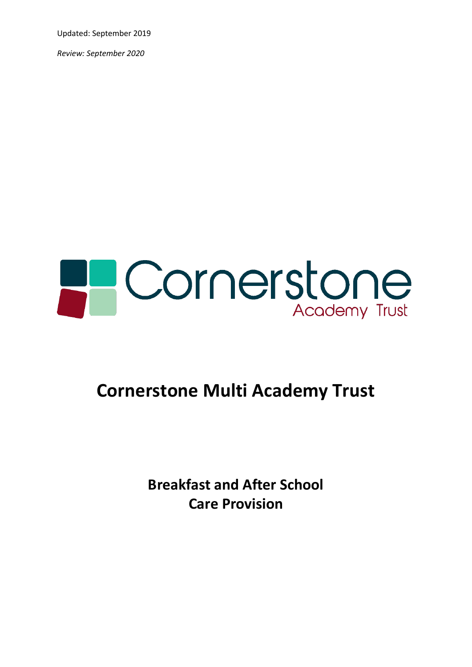Updated: September 2019

*Review: September 2020*



# **Cornerstone Multi Academy Trust**

**Breakfast and After School Care Provision**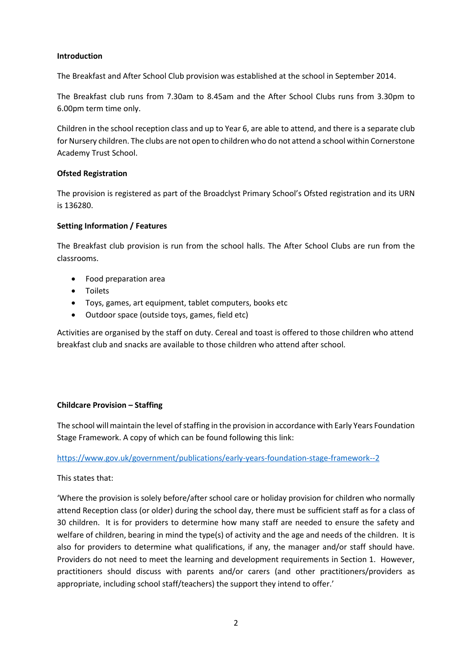#### **Introduction**

The Breakfast and After School Club provision was established at the school in September 2014.

The Breakfast club runs from 7.30am to 8.45am and the After School Clubs runs from 3.30pm to 6.00pm term time only.

Children in the school reception class and up to Year 6, are able to attend, and there is a separate club for Nursery children. The clubs are not open to children who do not attend a school within Cornerstone Academy Trust School.

#### **Ofsted Registration**

The provision is registered as part of the Broadclyst Primary School's Ofsted registration and its URN is 136280.

#### **Setting Information / Features**

The Breakfast club provision is run from the school halls. The After School Clubs are run from the classrooms.

- Food preparation area
- Toilets
- Toys, games, art equipment, tablet computers, books etc
- Outdoor space (outside toys, games, field etc)

Activities are organised by the staff on duty. Cereal and toast is offered to those children who attend breakfast club and snacks are available to those children who attend after school.

# **Childcare Provision – Staffing**

The school will maintain the level of staffing in the provision in accordance with Early Years Foundation Stage Framework. A copy of which can be found following this link:

# <https://www.gov.uk/government/publications/early-years-foundation-stage-framework--2>

This states that:

'Where the provision is solely before/after school care or holiday provision for children who normally attend Reception class (or older) during the school day, there must be sufficient staff as for a class of 30 children. It is for providers to determine how many staff are needed to ensure the safety and welfare of children, bearing in mind the type(s) of activity and the age and needs of the children. It is also for providers to determine what qualifications, if any, the manager and/or staff should have. Providers do not need to meet the learning and development requirements in Section 1. However, practitioners should discuss with parents and/or carers (and other practitioners/providers as appropriate, including school staff/teachers) the support they intend to offer.'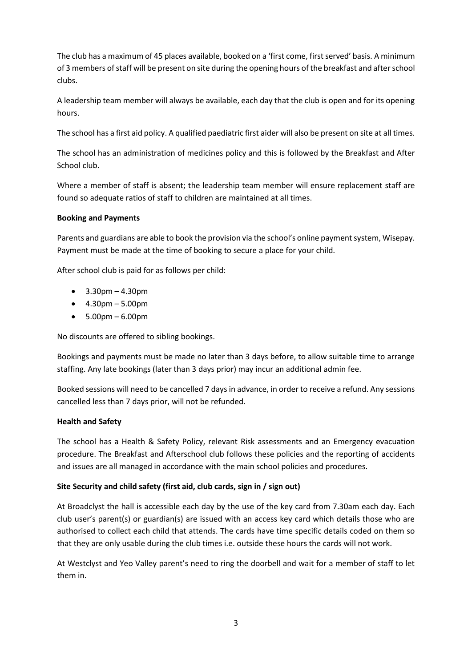The club has a maximum of 45 places available, booked on a 'first come, first served' basis. A minimum of 3 members of staff will be present on site during the opening hours of the breakfast and after school clubs.

A leadership team member will always be available, each day that the club is open and for its opening hours.

The school has a first aid policy. A qualified paediatric first aider will also be present on site at all times.

The school has an administration of medicines policy and this is followed by the Breakfast and After School club.

Where a member of staff is absent; the leadership team member will ensure replacement staff are found so adequate ratios of staff to children are maintained at all times.

# **Booking and Payments**

Parents and guardians are able to book the provision via the school's online payment system, Wisepay. Payment must be made at the time of booking to secure a place for your child.

After school club is paid for as follows per child:

- $3.30<sub>pm</sub> 4.30<sub>pm</sub>$
- $4.30<sub>pm</sub> 5.00<sub>pm</sub>$
- $5.00<sub>pm</sub> 6.00<sub>pm</sub>$

No discounts are offered to sibling bookings.

Bookings and payments must be made no later than 3 days before, to allow suitable time to arrange staffing. Any late bookings (later than 3 days prior) may incur an additional admin fee.

Booked sessions will need to be cancelled 7 days in advance, in order to receive a refund. Any sessions cancelled less than 7 days prior, will not be refunded.

# **Health and Safety**

The school has a Health & Safety Policy, relevant Risk assessments and an Emergency evacuation procedure. The Breakfast and Afterschool club follows these policies and the reporting of accidents and issues are all managed in accordance with the main school policies and procedures.

# **Site Security and child safety (first aid, club cards, sign in / sign out)**

At Broadclyst the hall is accessible each day by the use of the key card from 7.30am each day. Each club user's parent(s) or guardian(s) are issued with an access key card which details those who are authorised to collect each child that attends. The cards have time specific details coded on them so that they are only usable during the club times i.e. outside these hours the cards will not work.

At Westclyst and Yeo Valley parent's need to ring the doorbell and wait for a member of staff to let them in.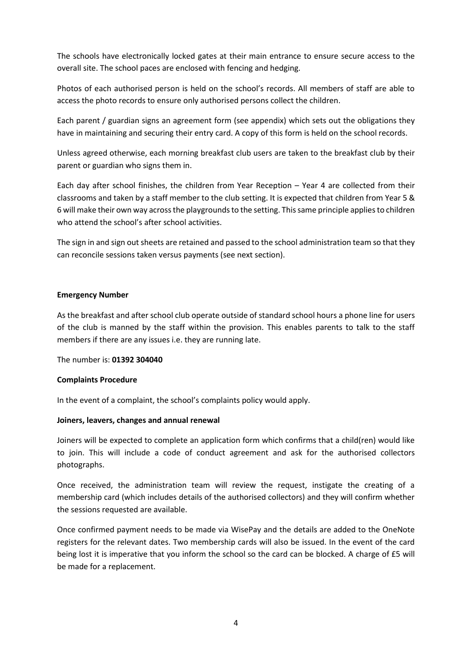The schools have electronically locked gates at their main entrance to ensure secure access to the overall site. The school paces are enclosed with fencing and hedging.

Photos of each authorised person is held on the school's records. All members of staff are able to access the photo records to ensure only authorised persons collect the children.

Each parent / guardian signs an agreement form (see appendix) which sets out the obligations they have in maintaining and securing their entry card. A copy of this form is held on the school records.

Unless agreed otherwise, each morning breakfast club users are taken to the breakfast club by their parent or guardian who signs them in.

Each day after school finishes, the children from Year Reception – Year 4 are collected from their classrooms and taken by a staff member to the club setting. It is expected that children from Year 5 & 6 will make their own way across the playgrounds to the setting. This same principle applies to children who attend the school's after school activities.

The sign in and sign out sheets are retained and passed to the school administration team so that they can reconcile sessions taken versus payments (see next section).

#### **Emergency Number**

As the breakfast and after school club operate outside of standard school hours a phone line for users of the club is manned by the staff within the provision. This enables parents to talk to the staff members if there are any issues i.e. they are running late.

The number is: **01392 304040**

#### **Complaints Procedure**

In the event of a complaint, the school's complaints policy would apply.

#### **Joiners, leavers, changes and annual renewal**

Joiners will be expected to complete an application form which confirms that a child(ren) would like to join. This will include a code of conduct agreement and ask for the authorised collectors photographs.

Once received, the administration team will review the request, instigate the creating of a membership card (which includes details of the authorised collectors) and they will confirm whether the sessions requested are available.

Once confirmed payment needs to be made via WisePay and the details are added to the OneNote registers for the relevant dates. Two membership cards will also be issued. In the event of the card being lost it is imperative that you inform the school so the card can be blocked. A charge of £5 will be made for a replacement.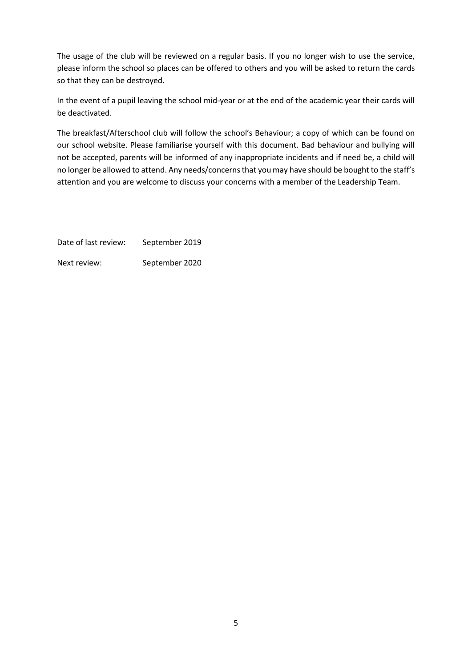The usage of the club will be reviewed on a regular basis. If you no longer wish to use the service, please inform the school so places can be offered to others and you will be asked to return the cards so that they can be destroyed.

In the event of a pupil leaving the school mid-year or at the end of the academic year their cards will be deactivated.

The breakfast/Afterschool club will follow the school's Behaviour; a copy of which can be found on our school website. Please familiarise yourself with this document. Bad behaviour and bullying will not be accepted, parents will be informed of any inappropriate incidents and if need be, a child will no longer be allowed to attend. Any needs/concerns that you may have should be bought to the staff's attention and you are welcome to discuss your concerns with a member of the Leadership Team.

Date of last review: September 2019 Next review: September 2020